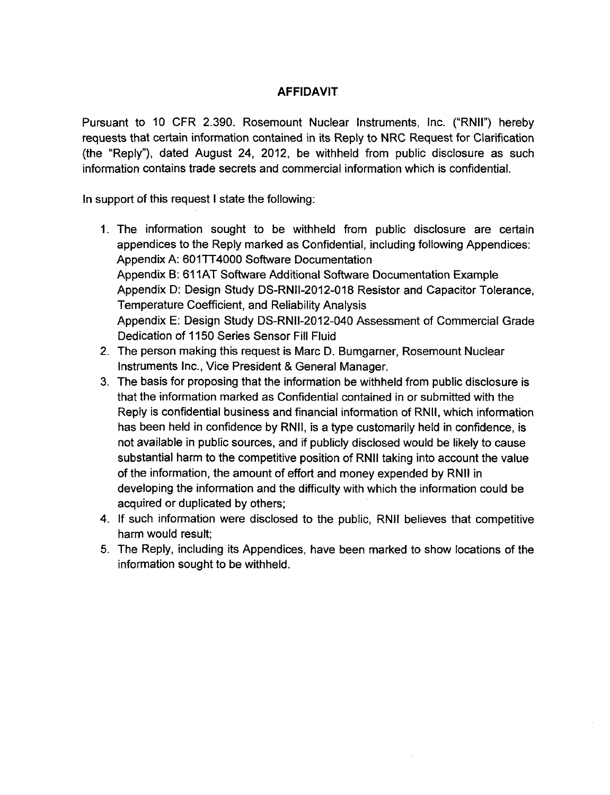## **AFFIDAVIT**

Pursuant to 10 CFR 2.390. Rosemount Nuclear Instruments, Inc. ("RNII") hereby requests that certain information contained in its Reply to NRC Request for Clarification (the "Reply"), dated August 24, 2012, be withheld from public disclosure as such information contains trade secrets and commercial information which is confidential.

In support of this request **I** state the following:

- 1. The information sought to be withheld from public disclosure are certain appendices to the Reply marked as Confidential, including following Appendices: Appendix A: 601TT4000 Software Documentation Appendix B: 61 **1AT** Software Additional Software Documentation Example Appendix D: Design Study DS-RNII-2012-018 Resistor and Capacitor Tolerance, Temperature Coefficient, and Reliability Analysis Appendix E: Design Study DS-RNII-2012-040 Assessment of Commercial Grade Dedication of 1150 Series Sensor Fill Fluid
- 2. The person making this request is Marc D. Bumgarner, Rosemount Nuclear Instruments Inc., Vice President & General Manager.
- 3. The basis for proposing that the information be withheld from public disclosure is that the information marked as Confidential contained in or submitted with the Reply is confidential business and financial information of RNII, which information has been held in confidence by RNII, is a type customarily held in confidence, is not available in public sources, and if publicly disclosed would be likely to cause substantial harm to the competitive position of RNII taking into account the value of the information, the amount of effort and money expended by RNII in developing the information and the difficulty with which the information could be acquired or duplicated by others;
- 4. If such information were disclosed to the public, RNII believes that competitive harm would result;
- 5. The Reply, including its Appendices, have been marked to show locations of the information sought to be withheld.